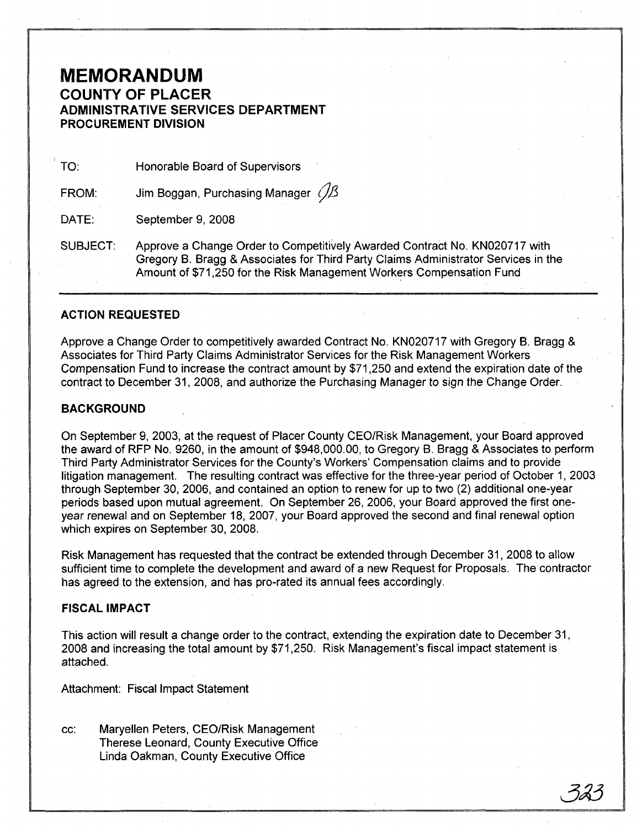# **MEMORANDUM COUNTY OF PLACER ADMINISTRATIVE SERVICES DEPARTMENT PROCUREMENT DIVISION**

TO: Honorable Board of Supervisors

FROM: Jim Boggan, Purchasing Manager  $\mathcal{B}$ 

DATE: September 9, 2008

SUBJECT: Approve a Change Order to Competitively Awarded Contract No. KN020717 with Gregory B. Bragg &Associates for Third Party Claims Administrator Services in the Amount of \$71,250 for the Risk Management Workers Compensation Fund

## **ACTION REQUESTED**

Approve a Change Order to competitively awarded Contract No. KN020717 with Gregory B. Bragg & Associates for Third Party Claims Administrator Services for the Risk Management Workers Compensation Fund to increase the contract amount by \$71,250 and extend the expiration date of the contract to December 31, 2008, and authorize the Purchasing Manager to sign the Change Order.

#### **BACKGROUND**

On September 9, 2003, at the request of Placer County CEO/Risk Management, your Board approved the award of RFP No. 9260, in the amount of \$948,000.00, to Gregory B. Bragg &Associates to perform Third Party Administrator Services for the County's Workers' Compensation claims and to provide litigation management. The resulting contract was effective for the three-year period of October 1, 2003 through September 30, 2006, and contained an option to renew for up to two (2) additional one-year periods based upon mutual agreement. On September 26, 2006, your Board approved the first oneyear renewal and on September 18, 2007, your Board approved the second and final renewal option which expires on September 30, 2008.

Risk Management has requested that the contract be extended through December 31,2008 to allow sufficient time to complete the development and award of a new Request for Proposals. The contractor has agreed to the extension, and has pro-rated its annual fees accordingly.

#### FISCAL IMPACT

This action will result a change order to the contract, extending the expiration date to December 31, 2008 and increasing the total amount by \$71,250. Risk Management's fiscal impact statement is attached.

Attachment: Fiscal Impact Statement

cc: Maryellen Peters, CEO/Risk Management Therese Leonard, County Executive Office Linda Oakman, County Executive Office